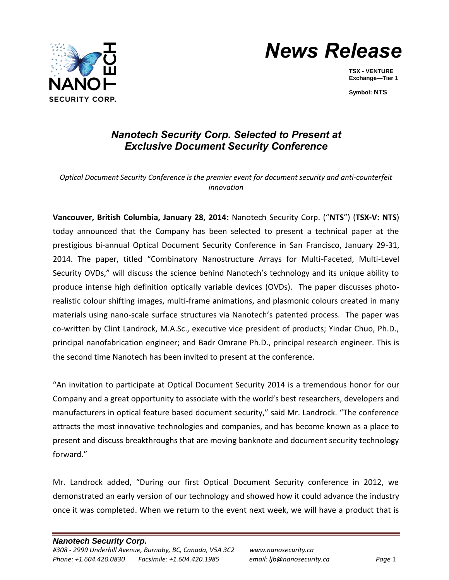



**TSX - VENTURE Exchange—Tier 1**

**Symbol: NTS**

## *Nanotech Security Corp. Selected to Present at Exclusive Document Security Conference*

*Optical Document Security Conference is the premier event for document security and anti-counterfeit innovation*

**Vancouver, British Columbia, January 28, 2014:** Nanotech Security Corp. ("**NTS**") (**TSX-V: NTS**) today announced that the Company has been selected to present a technical paper at the prestigious bi-annual Optical Document Security Conference in San Francisco, January 29-31, 2014. The paper, titled "Combinatory Nanostructure Arrays for Multi-Faceted, Multi-Level Security OVDs," will discuss the science behind Nanotech's technology and its unique ability to produce intense high definition optically variable devices (OVDs). The paper discusses photorealistic colour shifting images, multi-frame animations, and plasmonic colours created in many materials using nano-scale surface structures via Nanotech's patented process. The paper was co-written by Clint Landrock, M.A.Sc., executive vice president of products; Yindar Chuo, Ph.D., principal nanofabrication engineer; and Badr Omrane Ph.D., principal research engineer. This is the second time Nanotech has been invited to present at the conference.

"An invitation to participate at Optical Document Security 2014 is a tremendous honor for our Company and a great opportunity to associate with the world's best researchers, developers and manufacturers in optical feature based document security," said Mr. Landrock. "The conference attracts the most innovative technologies and companies, and has become known as a place to present and discuss breakthroughs that are moving banknote and document security technology forward."

Mr. Landrock added, "During our first Optical Document Security conference in 2012, we demonstrated an early version of our technology and showed how it could advance the industry once it was completed. When we return to the event next week, we will have a product that is